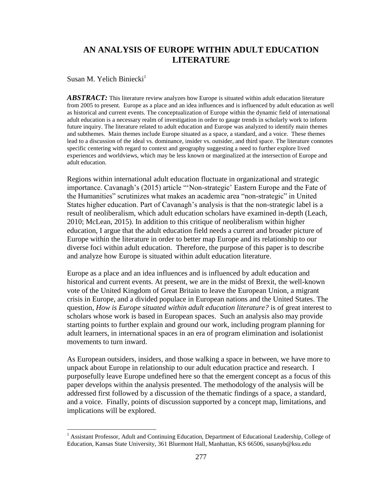# **AN ANALYSIS OF EUROPE WITHIN ADULT EDUCATION LITERATURE**

Susan M. Yelich Biniecki<sup>1</sup>

 $\overline{\phantom{a}}$ 

*ABSTRACT:* This literature review analyzes how Europe is situated within adult education literature from 2005 to present. Europe as a place and an idea influences and is influenced by adult education as well as historical and current events. The conceptualization of Europe within the dynamic field of international adult education is a necessary realm of investigation in order to gauge trends in scholarly work to inform future inquiry. The literature related to adult education and Europe was analyzed to identify main themes and subthemes. Main themes include Europe situated as a space, a standard, and a voice. These themes lead to a discussion of the ideal vs. dominance, insider vs. outsider, and third space. The literature connotes specific centering with regard to context and geography suggesting a need to further explore lived experiences and worldviews, which may be less known or marginalized at the intersection of Europe and adult education.

Regions within international adult education fluctuate in organizational and strategic importance. Cavanagh's (2015) article "'Non-strategic' Eastern Europe and the Fate of the Humanities" scrutinizes what makes an academic area "non-strategic" in United States higher education. Part of Cavanagh's analysis is that the non-strategic label is a result of neoliberalism, which adult education scholars have examined in-depth (Leach, 2010; McLean, 2015). In addition to this critique of neoliberalism within higher education, I argue that the adult education field needs a current and broader picture of Europe within the literature in order to better map Europe and its relationship to our diverse foci within adult education. Therefore, the purpose of this paper is to describe and analyze how Europe is situated within adult education literature.

Europe as a place and an idea influences and is influenced by adult education and historical and current events. At present, we are in the midst of Brexit, the well-known vote of the United Kingdom of Great Britain to leave the European Union, a migrant crisis in Europe, and a divided populace in European nations and the United States. The question, *How is Europe situated within adult education literature?* is of great interest to scholars whose work is based in European spaces. Such an analysis also may provide starting points to further explain and ground our work, including program planning for adult learners, in international spaces in an era of program elimination and isolationist movements to turn inward.

As European outsiders, insiders, and those walking a space in between, we have more to unpack about Europe in relationship to our adult education practice and research. I purposefully leave Europe undefined here so that the emergent concept as a focus of this paper develops within the analysis presented. The methodology of the analysis will be addressed first followed by a discussion of the thematic findings of a space, a standard, and a voice. Finally, points of discussion supported by a concept map, limitations, and implications will be explored.

<sup>&</sup>lt;sup>1</sup> Assistant Professor, Adult and Continuing Education, Department of Educational Leadership, College of Education, Kansas State University, 361 Bluemont Hall, Manhattan, KS 66506, susanyb@ksu.edu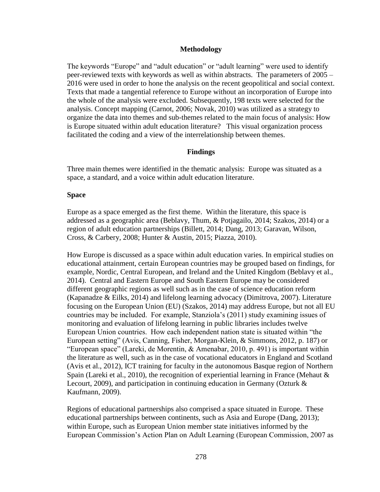## **Methodology**

The keywords "Europe" and "adult education" or "adult learning" were used to identify peer-reviewed texts with keywords as well as within abstracts. The parameters of 2005 – 2016 were used in order to hone the analysis on the recent geopolitical and social context. Texts that made a tangential reference to Europe without an incorporation of Europe into the whole of the analysis were excluded. Subsequently, 198 texts were selected for the analysis. Concept mapping (Carnot, 2006; Novak, 2010) was utilized as a strategy to organize the data into themes and sub-themes related to the main focus of analysis: How is Europe situated within adult education literature? This visual organization process facilitated the coding and a view of the interrelationship between themes.

# **Findings**

Three main themes were identified in the thematic analysis: Europe was situated as a space, a standard, and a voice within adult education literature.

## **Space**

Europe as a space emerged as the first theme. Within the literature, this space is addressed as a geographic area (Beblavy, Thum, & Potjagailo, 2014; Szakos, 2014) or a region of adult education partnerships (Billett, 2014; Dang, 2013; Garavan, Wilson, Cross, & Carbery, 2008; Hunter & Austin, 2015; Piazza, 2010).

How Europe is discussed as a space within adult education varies. In empirical studies on educational attainment, certain European countries may be grouped based on findings, for example, Nordic, Central European, and Ireland and the United Kingdom (Beblavy et al., 2014). Central and Eastern Europe and South Eastern Europe may be considered different geographic regions as well such as in the case of science education reform (Kapanadze & Eilks, 2014) and lifelong learning advocacy (Dimitrova, 2007). Literature focusing on the European Union (EU) (Szakos, 2014) may address Europe, but not all EU countries may be included. For example, Stanziola's (2011) study examining issues of monitoring and evaluation of lifelong learning in public libraries includes twelve European Union countries. How each independent nation state is situated within "the European setting" (Avis, Canning, Fisher, Morgan-Klein, & Simmons, 2012, p. 187) or "European space" (Lareki, de Morentin, & Amenabar, 2010, p. 491) is important within the literature as well, such as in the case of vocational educators in England and Scotland (Avis et al., 2012), ICT training for faculty in the autonomous Basque region of Northern Spain (Lareki et al., 2010), the recognition of experiential learning in France (Mehaut  $\&$ Lecourt, 2009), and participation in continuing education in Germany (Ozturk & Kaufmann, 2009).

Regions of educational partnerships also comprised a space situated in Europe. These educational partnerships between continents, such as Asia and Europe (Dang, 2013); within Europe, such as European Union member state initiatives informed by the European Commission's Action Plan on Adult Learning (European Commission, 2007 as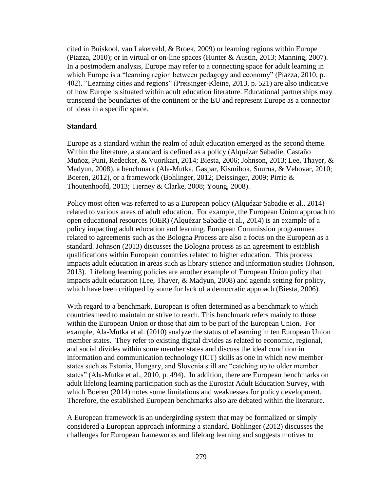cited in Buiskool, van Lakerveld, & Broek, 2009) or learning regions within Europe (Piazza, 2010); or in virtual or on-line spaces (Hunter & Austin, 2013; Manning, 2007). In a postmodern analysis, Europe may refer to a connecting space for adult learning in which Europe is a "learning region between pedagogy and economy" (Piazza, 2010, p. 402). "Learning cities and regions" (Preisinger-Kleine, 2013, p. 521) are also indicative of how Europe is situated within adult education literature. Educational partnerships may transcend the boundaries of the continent or the EU and represent Europe as a connector of ideas in a specific space.

### **Standard**

Europe as a standard within the realm of adult education emerged as the second theme. Within the literature, a standard is defined as a policy (Alquézar Sabadie, Castaño Muñoz, Puni, Redecker, & Vuorikari, 2014; Biesta, 2006; Johnson, 2013; Lee, Thayer, & Madyun, 2008), a benchmark (Ala-Mutka, Gaspar, Kismihok, Suurna, & Vehovar, 2010; Boeren, 2012), or a framework (Bohlinger, 2012; Deissinger, 2009; Pirrie & Thoutenhoofd, 2013; Tierney & Clarke, 2008; Young, 2008).

Policy most often was referred to as a European policy (Alquézar Sabadie et al., 2014) related to various areas of adult education. For example, the European Union approach to open educational resources (OER) (Alquézar Sabadie et al., 2014) is an example of a policy impacting adult education and learning. European Commission programmes related to agreements such as the Bologna Process are also a focus on the European as a standard. Johnson (2013) discusses the Bologna process as an agreement to establish qualifications within European countries related to higher education. This process impacts adult education in areas such as library science and information studies (Johnson, 2013). Lifelong learning policies are another example of European Union policy that impacts adult education (Lee, Thayer, & Madyun, 2008) and agenda setting for policy, which have been critiqued by some for lack of a democratic approach (Biesta, 2006).

With regard to a benchmark, European is often determined as a benchmark to which countries need to maintain or strive to reach. This benchmark refers mainly to those within the European Union or those that aim to be part of the European Union. For example, Ala-Mutka et al. (2010) analyze the status of eLearning in ten European Union member states. They refer to existing digital divides as related to economic, regional, and social divides within some member states and discuss the ideal condition in information and communication technology (ICT) skills as one in which new member states such as Estonia, Hungary, and Slovenia still are "catching up to older member states" (Ala-Mutka et al., 2010, p. 494). In addition, there are European benchmarks on adult lifelong learning participation such as the Eurostat Adult Education Survey, with which Boeren (2014) notes some limitations and weaknesses for policy development. Therefore, the established European benchmarks also are debated within the literature.

A European framework is an undergirding system that may be formalized or simply considered a European approach informing a standard. Bohlinger (2012) discusses the challenges for European frameworks and lifelong learning and suggests motives to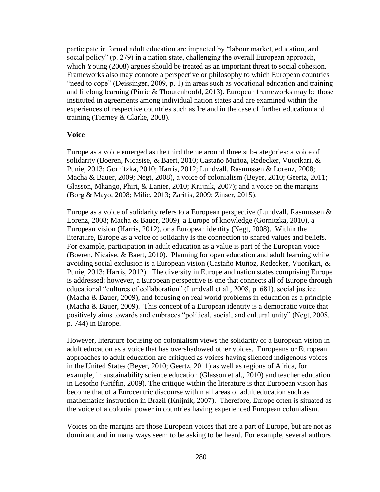participate in formal adult education are impacted by "labour market, education, and social policy" (p. 279) in a nation state, challenging the overall European approach, which Young (2008) argues should be treated as an important threat to social cohesion. Frameworks also may connote a perspective or philosophy to which European countries "need to cope" (Deissinger, 2009, p. 1) in areas such as vocational education and training and lifelong learning (Pirrie & Thoutenhoofd, 2013). European frameworks may be those instituted in agreements among individual nation states and are examined within the experiences of respective countries such as Ireland in the case of further education and training (Tierney & Clarke, 2008).

#### **Voice**

Europe as a voice emerged as the third theme around three sub-categories: a voice of solidarity (Boeren, Nicasise, & Baert, 2010; Castaño Muñoz, Redecker, Vuorikari, & Punie, 2013; Gornitzka, 2010; Harris, 2012; Lundvall, Rasmussen & Lorenz, 2008; Macha & Bauer, 2009; Negt, 2008), a voice of colonialism (Beyer, 2010; Geertz, 2011; Glasson, Mhango, Phiri, & Lanier, 2010; Knijnik, 2007); and a voice on the margins (Borg & Mayo, 2008; Milic, 2013; Zarifis, 2009; Zinser, 2015).

Europe as a voice of solidarity refers to a European perspective (Lundvall, Rasmussen & Lorenz, 2008; Macha & Bauer, 2009), a Europe of knowledge (Gornitzka, 2010), a European vision (Harris, 2012), or a European identity (Negt, 2008). Within the literature, Europe as a voice of solidarity is the connection to shared values and beliefs. For example, participation in adult education as a value is part of the European voice (Boeren, Nicaise, & Baert, 2010). Planning for open education and adult learning while avoiding social exclusion is a European vision (Castaño Muñoz, Redecker, Vuorikari, & Punie, 2013; Harris, 2012). The diversity in Europe and nation states comprising Europe is addressed; however, a European perspective is one that connects all of Europe through educational "cultures of collaboration" (Lundvall et al., 2008, p. 681), social justice (Macha & Bauer, 2009), and focusing on real world problems in education as a principle (Macha & Bauer, 2009). This concept of a European identity is a democratic voice that positively aims towards and embraces "political, social, and cultural unity" (Negt, 2008, p. 744) in Europe.

However, literature focusing on colonialism views the solidarity of a European vision in adult education as a voice that has overshadowed other voices. Europeans or European approaches to adult education are critiqued as voices having silenced indigenous voices in the United States (Beyer, 2010; Geertz, 2011) as well as regions of Africa, for example, in sustainability science education (Glasson et al., 2010) and teacher education in Lesotho (Griffin, 2009). The critique within the literature is that European vision has become that of a Eurocentric discourse within all areas of adult education such as mathematics instruction in Brazil (Knijnik, 2007). Therefore, Europe often is situated as the voice of a colonial power in countries having experienced European colonialism.

Voices on the margins are those European voices that are a part of Europe, but are not as dominant and in many ways seem to be asking to be heard. For example, several authors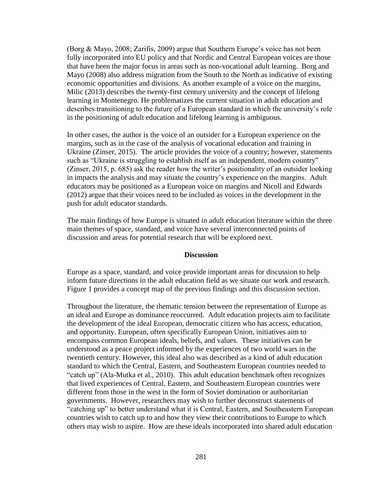(Borg & Mayo, 2008; Zarifis, 2009) argue that Southern Europe's voice has not been fully incorporated into EU policy and that Nordic and Central European voices are those that have been the major focus in areas such as non-vocational adult learning. Borg and Mayo (2008) also address migration from the South to the North as indicative of existing economic opportunities and divisions. As another example of a voice on the margins, Milic (2013) describes the twenty-first century university and the concept of lifelong learning in Montenegro. He problematizes the current situation in adult education and describes transitioning to the future of a European standard in which the university's role in the positioning of adult education and lifelong learning is ambiguous.

In other cases, the author is the voice of an outsider for a European experience on the margins, such as in the case of the analysis of vocational education and training in Ukraine (Zinser, 2015). The article provides the voice of a country; however, statements such as "Ukraine is struggling to establish itself as an independent, modern country" (Zinser, 2015, p. 685) ask the reader how the writer's positionality of an outsider looking in impacts the analysis and may situate the country's experience on the margins. Adult educators may be positioned as a European voice on margins and Nicoll and Edwards (2012) argue that their voices need to be included as voices in the development in the push for adult educator standards.

The main findings of how Europe is situated in adult education literature within the three main themes of space, standard, and voice have several interconnected points of discussion and areas for potential research that will be explored next.

#### **Discussion**

Europe as a space, standard, and voice provide important areas for discussion to help inform future directions in the adult education field as we situate our work and research. Figure 1 provides a concept map of the previous findings and this discussion section.

Throughout the literature, the thematic tension between the representation of Europe as an ideal and Europe as dominance reoccurred. Adult education projects aim to facilitate the development of the ideal European, democratic citizen who has access, education, and opportunity. European, often specifically European Union, initiatives aim to encompass common European ideals, beliefs, and values. These initiatives can be understood as a peace project informed by the experiences of two world wars in the twentieth century. However, this ideal also was described as a kind of adult education standard to which the Central, Eastern, and Southeastern European countries needed to "catch up" (Ala-Mutka et al., 2010). This adult education benchmark often recognizes that lived experiences of Central, Eastern, and Southeastern European countries were different from those in the west in the form of Soviet domination or authoritarian governments. However, researchers may wish to further deconstruct statements of "catching up" to better understand what it is Central, Eastern, and Southeastern European countries wish to catch up to and how they view their contributions to Europe to which others may wish to aspire. How are these ideals incorporated into shared adult education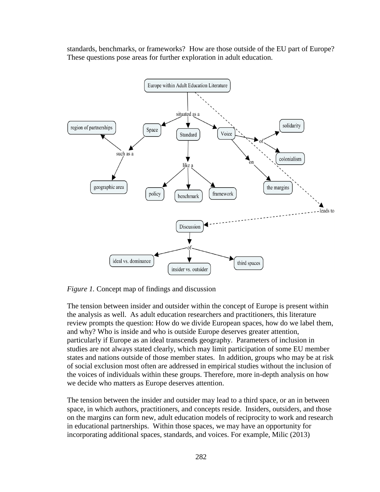standards, benchmarks, or frameworks? How are those outside of the EU part of Europe? These questions pose areas for further exploration in adult education.



*Figure 1.* Concept map of findings and discussion

The tension between insider and outsider within the concept of Europe is present within the analysis as well. As adult education researchers and practitioners, this literature review prompts the question: How do we divide European spaces, how do we label them, and why? Who is inside and who is outside Europe deserves greater attention, particularly if Europe as an ideal transcends geography. Parameters of inclusion in studies are not always stated clearly, which may limit participation of some EU member states and nations outside of those member states. In addition, groups who may be at risk of social exclusion most often are addressed in empirical studies without the inclusion of the voices of individuals within these groups. Therefore, more in-depth analysis on how we decide who matters as Europe deserves attention.

The tension between the insider and outsider may lead to a third space, or an in between space, in which authors, practitioners, and concepts reside. Insiders, outsiders, and those on the margins can form new, adult education models of reciprocity to work and research in educational partnerships. Within those spaces, we may have an opportunity for incorporating additional spaces, standards, and voices. For example, Milic (2013)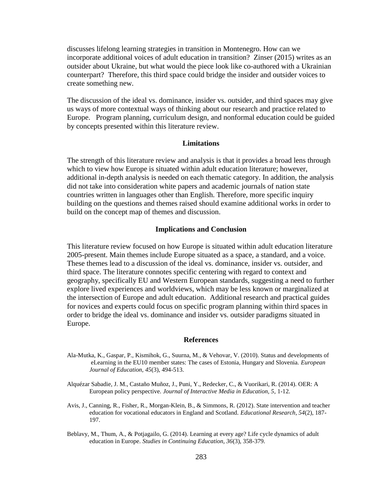discusses lifelong learning strategies in transition in Montenegro. How can we incorporate additional voices of adult education in transition? Zinser (2015) writes as an outsider about Ukraine, but what would the piece look like co-authored with a Ukrainian counterpart? Therefore, this third space could bridge the insider and outsider voices to create something new.

The discussion of the ideal vs. dominance, insider vs. outsider, and third spaces may give us ways of more contextual ways of thinking about our research and practice related to Europe. Program planning, curriculum design, and nonformal education could be guided by concepts presented within this literature review.

#### **Limitations**

The strength of this literature review and analysis is that it provides a broad lens through which to view how Europe is situated within adult education literature; however, additional in-depth analysis is needed on each thematic category. In addition, the analysis did not take into consideration white papers and academic journals of nation state countries written in languages other than English. Therefore, more specific inquiry building on the questions and themes raised should examine additional works in order to build on the concept map of themes and discussion.

#### **Implications and Conclusion**

This literature review focused on how Europe is situated within adult education literature 2005-present. Main themes include Europe situated as a space, a standard, and a voice. These themes lead to a discussion of the ideal vs. dominance, insider vs. outsider, and third space. The literature connotes specific centering with regard to context and geography, specifically EU and Western European standards, suggesting a need to further explore lived experiences and worldviews, which may be less known or marginalized at the intersection of Europe and adult education.Additional research and practical guides for novices and experts could focus on specific program planning within third spaces in order to bridge the ideal vs. dominance and insider vs. outsider paradigms situated in Europe.

#### **References**

- Ala-Mutka, K., Gaspar, P., Kismihok, G., Suurna, M., & Vehovar, V. (2010). Status and developments of eLearning in the EU10 member states: The cases of Estonia, Hungary and Slovenia. *European Journal of Education, 45*(3), 494-513.
- Alquézar Sabadie, J. M., Castaño Muñoz, J., Puni, Y., Redecker, C., & Vuorikari, R. (2014). OER: A European policy perspective. *Journal of Interactive Media in Education, 5*, 1-12*.*
- Avis, J., Canning, R., Fisher, R., Morgan-Klein, B., & Simmons, R. (2012). State intervention and teacher education for vocational educators in England and Scotland. *Educational Research, 54*(2), 187- 197.
- Beblavy, M., Thum, A., & Potjagailo, G. (2014). Learning at every age? Life cycle dynamics of adult education in Europe. *Studies in Continuing Education, 36*(3), 358-379.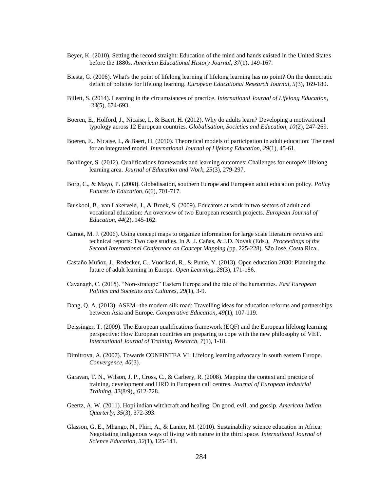- Beyer, K. (2010). Setting the record straight: Education of the mind and hands existed in the United States before the 1880s. *American Educational History Journal, 37*(1), 149-167.
- Biesta, G. (2006). What's the point of lifelong learning if lifelong learning has no point? On the democratic deficit of policies for lifelong learning. *European Educational Research Journal, 5*(3), 169-180.
- Billett, S. (2014). Learning in the circumstances of practice. *International Journal of Lifelong Education, 33*(5), 674-693.
- Boeren, E., Holford, J., Nicaise, I., & Baert, H. (2012). Why do adults learn? Developing a motivational typology across 12 European countries. *Globalisation, Societies and Education, 10*(2), 247-269.
- Boeren, E., Nicaise, I., & Baert, H. (2010). Theoretical models of participation in adult education: The need for an integrated model. *International Journal of Lifelong Education, 29*(1), 45-61.
- Bohlinger, S. (2012). Qualifications frameworks and learning outcomes: Challenges for europe's lifelong learning area. *Journal of Education and Work, 25*(3), 279-297.
- Borg, C., & Mayo, P. (2008). Globalisation, southern Europe and European adult education policy. *Policy Futures in Education, 6*(6), 701-717.
- Buiskool, B., van Lakerveld, J., & Broek, S. (2009). Educators at work in two sectors of adult and vocational education: An overview of two European research projects. *European Journal of Education, 44*(2), 145-162.
- Carnot, M. J. (2006). Using concept maps to organize information for large scale literature reviews and technical reports: Two case studies. In A. J. Cañas, & J.D. Novak (Eds.), *Proceedings of the Second International Conference on Concept Mapping (*pp. 225-228). São José, Costa Rica..
- Castaño Muñoz, J., Redecker, C., Vuorikari, R., & Punie, Y. (2013). Open education 2030: Planning the future of adult learning in Europe. *Open Learning, 28*(3), 171-186.
- Cavanagh, C. (2015). "Non-strategic" Eastern Europe and the fate of the humanities. *East European Politics and Societies and Cultures*, *29*(1), 3-9.
- Dang, Q. A. (2013). ASEM--the modern silk road: Travelling ideas for education reforms and partnerships between Asia and Europe. *Comparative Education, 49*(1), 107-119.
- Deissinger, T. (2009). The European qualifications framework (EQF) and the European lifelong learning perspective: How European countries are preparing to cope with the new philosophy of VET. *International Journal of Training Research, 7*(1), 1-18.
- Dimitrova, A. (2007). Towards CONFINTEA VI: Lifelong learning advocacy in south eastern Europe. *Convergence, 40*(3).
- Garavan, T. N., Wilson, J. P., Cross, C., & Carbery, R. (2008). Mapping the context and practice of training, development and HRD in European call centres. *Journal of European Industrial Training, 32*(8/9),, 612-728.
- Geertz, A. W. (2011). Hopi indian witchcraft and healing: On good, evil, and gossip. *American Indian Quarterly, 35*(3), 372-393.
- Glasson, G. E., Mhango, N., Phiri, A., & Lanier, M. (2010). Sustainability science education in Africa: Negotiating indigenous ways of living with nature in the third space. *International Journal of Science Education, 32*(1), 125-141.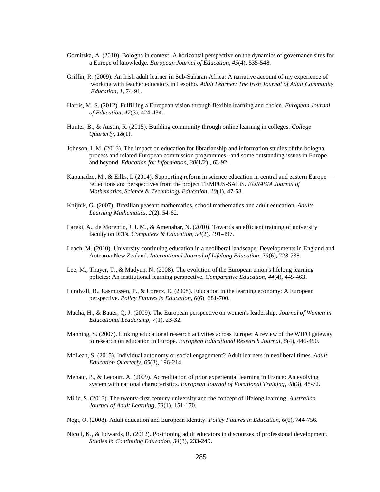- Gornitzka, A. (2010). Bologna in context: A horizontal perspective on the dynamics of governance sites for a Europe of knowledge. *European Journal of Education, 45*(4), 535-548.
- Griffin, R. (2009). An Irish adult learner in Sub-Saharan Africa: A narrative account of my experience of working with teacher educators in Lesotho. *Adult Learner: The Irish Journal of Adult Community Education*, *1*, 74-91.
- Harris, M. S. (2012). Fulfilling a European vision through flexible learning and choice. *European Journal of Education, 47*(3), 424-434.
- Hunter, B., & Austin, R. (2015). Building community through online learning in colleges. *College Quarterly, 18*(1).
- Johnson, I. M. (2013). The impact on education for librarianship and information studies of the bologna process and related European commission programmes--and some outstanding issues in Europe and beyond. *Education for Information, 30*(1/2),, 63-92.
- Kapanadze, M., & Eilks, I. (2014). Supporting reform in science education in central and eastern Europe reflections and perspectives from the project TEMPUS-SALiS. *EURASIA Journal of Mathematics, Science & Technology Education, 10*(1), 47-58.
- Knijnik, G. (2007). Brazilian peasant mathematics, school mathematics and adult education. *Adults Learning Mathematics, 2*(2), 54-62.
- Lareki, A., de Morentin, J. I. M., & Amenabar, N. (2010). Towards an efficient training of university faculty on ICTs. *Computers & Education, 54*(2), 491-497.
- Leach, M. (2010). University continuing education in a neoliberal landscape: Developments in England and Aotearoa New Zealand. *International Journal of Lifelong Education. 29*(6), 723-738.
- Lee, M., Thayer, T., & Madyun, N. (2008). The evolution of the European union's lifelong learning policies: An institutional learning perspective. *Comparative Education, 44*(4), 445-463.
- Lundvall, B., Rasmussen, P., & Lorenz, E. (2008). Education in the learning economy: A European perspective. *Policy Futures in Education, 6*(6), 681-700.
- Macha, H., & Bauer, Q. J. (2009). The European perspective on women's leadership. *Journal of Women in Educational Leadership, 7*(1), 23-32.
- Manning, S. (2007). Linking educational research activities across Europe: A review of the WIFO gateway to research on education in Europe. *European Educational Research Journal, 6*(4), 446-450.
- McLean, S. (2015). Individual autonomy or social engagement? Adult learners in neoliberal times. *Adult Education Quarterly. 65*(3), 196-214.
- Mehaut, P., & Lecourt, A. (2009). Accreditation of prior experiential learning in France: An evolving system with national characteristics. *European Journal of Vocational Training, 48*(3), 48-72.
- Milic, S. (2013). The twenty-first century university and the concept of lifelong learning. *Australian Journal of Adult Learning, 53*(1), 151-170.
- Negt, O. (2008). Adult education and European identity. *Policy Futures in Education, 6*(6), 744-756.
- Nicoll, K., & Edwards, R. (2012). Positioning adult educators in discourses of professional development. *Studies in Continuing Education, 34*(3), 233-249.